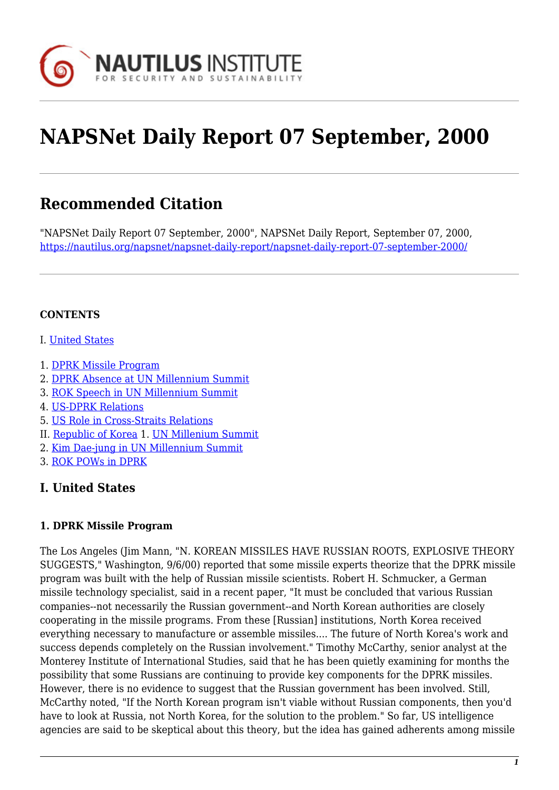

# **NAPSNet Daily Report 07 September, 2000**

## **Recommended Citation**

"NAPSNet Daily Report 07 September, 2000", NAPSNet Daily Report, September 07, 2000, <https://nautilus.org/napsnet/napsnet-daily-report/napsnet-daily-report-07-september-2000/>

#### **CONTENTS**

- I. [United States](#page-0-0)
- 1. [DPRK Missile Program](#page-0-1)
- 2. [DPRK Absence at UN Millennium Summit](#page-1-0)
- 3. [ROK Speech in UN Millennium Summit](#page-1-1)
- 4. [US-DPRK Relations](#page-1-2)
- 5. [US Role in Cross-Straits Relations](#page-2-0)
- II. [Republic of Korea](#page-2-1) 1. [UN Millenium Summit](#page-2-2)
- 2. [Kim Dae-jung in UN Millennium Summit](#page-3-0)
- 3. [ROK POWs in DPRK](#page-3-1)

#### <span id="page-0-0"></span>**I. United States**

#### <span id="page-0-1"></span>**1. DPRK Missile Program**

The Los Angeles (Jim Mann, "N. KOREAN MISSILES HAVE RUSSIAN ROOTS, EXPLOSIVE THEORY SUGGESTS," Washington, 9/6/00) reported that some missile experts theorize that the DPRK missile program was built with the help of Russian missile scientists. Robert H. Schmucker, a German missile technology specialist, said in a recent paper, "It must be concluded that various Russian companies--not necessarily the Russian government--and North Korean authorities are closely cooperating in the missile programs. From these [Russian] institutions, North Korea received everything necessary to manufacture or assemble missiles.... The future of North Korea's work and success depends completely on the Russian involvement." Timothy McCarthy, senior analyst at the Monterey Institute of International Studies, said that he has been quietly examining for months the possibility that some Russians are continuing to provide key components for the DPRK missiles. However, there is no evidence to suggest that the Russian government has been involved. Still, McCarthy noted, "If the North Korean program isn't viable without Russian components, then you'd have to look at Russia, not North Korea, for the solution to the problem." So far, US intelligence agencies are said to be skeptical about this theory, but the idea has gained adherents among missile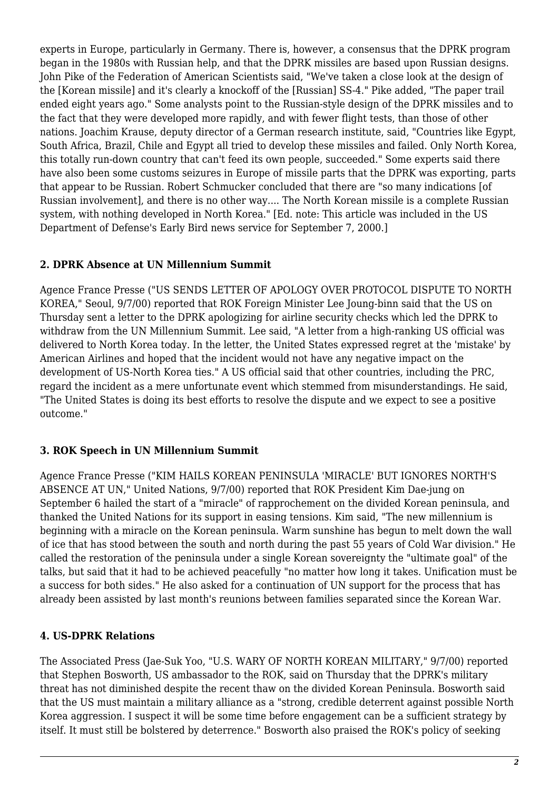experts in Europe, particularly in Germany. There is, however, a consensus that the DPRK program began in the 1980s with Russian help, and that the DPRK missiles are based upon Russian designs. John Pike of the Federation of American Scientists said, "We've taken a close look at the design of the [Korean missile] and it's clearly a knockoff of the [Russian] SS-4." Pike added, "The paper trail ended eight years ago." Some analysts point to the Russian-style design of the DPRK missiles and to the fact that they were developed more rapidly, and with fewer flight tests, than those of other nations. Joachim Krause, deputy director of a German research institute, said, "Countries like Egypt, South Africa, Brazil, Chile and Egypt all tried to develop these missiles and failed. Only North Korea, this totally run-down country that can't feed its own people, succeeded." Some experts said there have also been some customs seizures in Europe of missile parts that the DPRK was exporting, parts that appear to be Russian. Robert Schmucker concluded that there are "so many indications [of Russian involvement], and there is no other way.... The North Korean missile is a complete Russian system, with nothing developed in North Korea." [Ed. note: This article was included in the US Department of Defense's Early Bird news service for September 7, 2000.]

#### <span id="page-1-0"></span>**2. DPRK Absence at UN Millennium Summit**

Agence France Presse ("US SENDS LETTER OF APOLOGY OVER PROTOCOL DISPUTE TO NORTH KOREA," Seoul, 9/7/00) reported that ROK Foreign Minister Lee Joung-binn said that the US on Thursday sent a letter to the DPRK apologizing for airline security checks which led the DPRK to withdraw from the UN Millennium Summit. Lee said, "A letter from a high-ranking US official was delivered to North Korea today. In the letter, the United States expressed regret at the 'mistake' by American Airlines and hoped that the incident would not have any negative impact on the development of US-North Korea ties." A US official said that other countries, including the PRC, regard the incident as a mere unfortunate event which stemmed from misunderstandings. He said, "The United States is doing its best efforts to resolve the dispute and we expect to see a positive outcome."

#### <span id="page-1-1"></span>**3. ROK Speech in UN Millennium Summit**

Agence France Presse ("KIM HAILS KOREAN PENINSULA 'MIRACLE' BUT IGNORES NORTH'S ABSENCE AT UN," United Nations, 9/7/00) reported that ROK President Kim Dae-jung on September 6 hailed the start of a "miracle" of rapprochement on the divided Korean peninsula, and thanked the United Nations for its support in easing tensions. Kim said, "The new millennium is beginning with a miracle on the Korean peninsula. Warm sunshine has begun to melt down the wall of ice that has stood between the south and north during the past 55 years of Cold War division." He called the restoration of the peninsula under a single Korean sovereignty the "ultimate goal" of the talks, but said that it had to be achieved peacefully "no matter how long it takes. Unification must be a success for both sides." He also asked for a continuation of UN support for the process that has already been assisted by last month's reunions between families separated since the Korean War.

#### <span id="page-1-2"></span>**4. US-DPRK Relations**

The Associated Press (Jae-Suk Yoo, "U.S. WARY OF NORTH KOREAN MILITARY," 9/7/00) reported that Stephen Bosworth, US ambassador to the ROK, said on Thursday that the DPRK's military threat has not diminished despite the recent thaw on the divided Korean Peninsula. Bosworth said that the US must maintain a military alliance as a "strong, credible deterrent against possible North Korea aggression. I suspect it will be some time before engagement can be a sufficient strategy by itself. It must still be bolstered by deterrence." Bosworth also praised the ROK's policy of seeking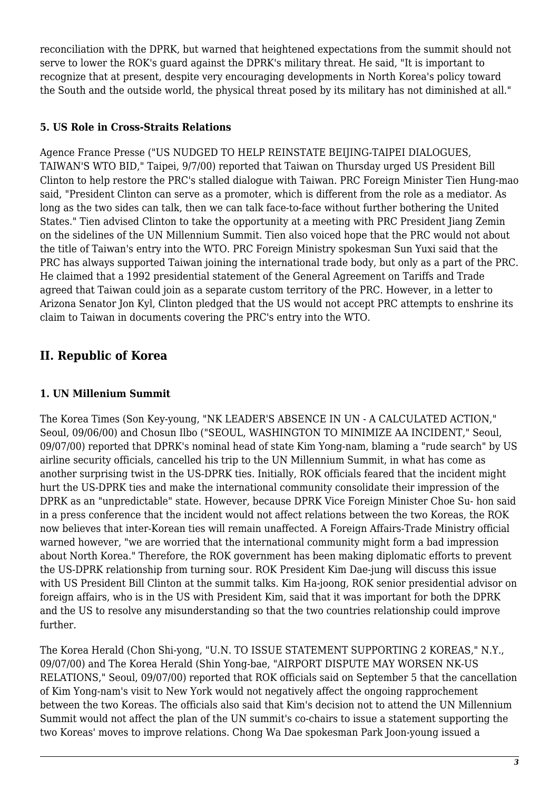reconciliation with the DPRK, but warned that heightened expectations from the summit should not serve to lower the ROK's guard against the DPRK's military threat. He said, "It is important to recognize that at present, despite very encouraging developments in North Korea's policy toward the South and the outside world, the physical threat posed by its military has not diminished at all."

#### <span id="page-2-0"></span>**5. US Role in Cross-Straits Relations**

Agence France Presse ("US NUDGED TO HELP REINSTATE BEIJING-TAIPEI DIALOGUES, TAIWAN'S WTO BID," Taipei, 9/7/00) reported that Taiwan on Thursday urged US President Bill Clinton to help restore the PRC's stalled dialogue with Taiwan. PRC Foreign Minister Tien Hung-mao said, "President Clinton can serve as a promoter, which is different from the role as a mediator. As long as the two sides can talk, then we can talk face-to-face without further bothering the United States." Tien advised Clinton to take the opportunity at a meeting with PRC President Jiang Zemin on the sidelines of the UN Millennium Summit. Tien also voiced hope that the PRC would not about the title of Taiwan's entry into the WTO. PRC Foreign Ministry spokesman Sun Yuxi said that the PRC has always supported Taiwan joining the international trade body, but only as a part of the PRC. He claimed that a 1992 presidential statement of the General Agreement on Tariffs and Trade agreed that Taiwan could join as a separate custom territory of the PRC. However, in a letter to Arizona Senator Jon Kyl, Clinton pledged that the US would not accept PRC attempts to enshrine its claim to Taiwan in documents covering the PRC's entry into the WTO.

### <span id="page-2-1"></span>**II. Republic of Korea**

#### <span id="page-2-2"></span>**1. UN Millenium Summit**

The Korea Times (Son Key-young, "NK LEADER'S ABSENCE IN UN - A CALCULATED ACTION," Seoul, 09/06/00) and Chosun Ilbo ("SEOUL, WASHINGTON TO MINIMIZE AA INCIDENT," Seoul, 09/07/00) reported that DPRK's nominal head of state Kim Yong-nam, blaming a "rude search" by US airline security officials, cancelled his trip to the UN Millennium Summit, in what has come as another surprising twist in the US-DPRK ties. Initially, ROK officials feared that the incident might hurt the US-DPRK ties and make the international community consolidate their impression of the DPRK as an "unpredictable" state. However, because DPRK Vice Foreign Minister Choe Su- hon said in a press conference that the incident would not affect relations between the two Koreas, the ROK now believes that inter-Korean ties will remain unaffected. A Foreign Affairs-Trade Ministry official warned however, "we are worried that the international community might form a bad impression about North Korea." Therefore, the ROK government has been making diplomatic efforts to prevent the US-DPRK relationship from turning sour. ROK President Kim Dae-jung will discuss this issue with US President Bill Clinton at the summit talks. Kim Ha-joong, ROK senior presidential advisor on foreign affairs, who is in the US with President Kim, said that it was important for both the DPRK and the US to resolve any misunderstanding so that the two countries relationship could improve further.

The Korea Herald (Chon Shi-yong, "U.N. TO ISSUE STATEMENT SUPPORTING 2 KOREAS," N.Y., 09/07/00) and The Korea Herald (Shin Yong-bae, "AIRPORT DISPUTE MAY WORSEN NK-US RELATIONS," Seoul, 09/07/00) reported that ROK officials said on September 5 that the cancellation of Kim Yong-nam's visit to New York would not negatively affect the ongoing rapprochement between the two Koreas. The officials also said that Kim's decision not to attend the UN Millennium Summit would not affect the plan of the UN summit's co-chairs to issue a statement supporting the two Koreas' moves to improve relations. Chong Wa Dae spokesman Park Joon-young issued a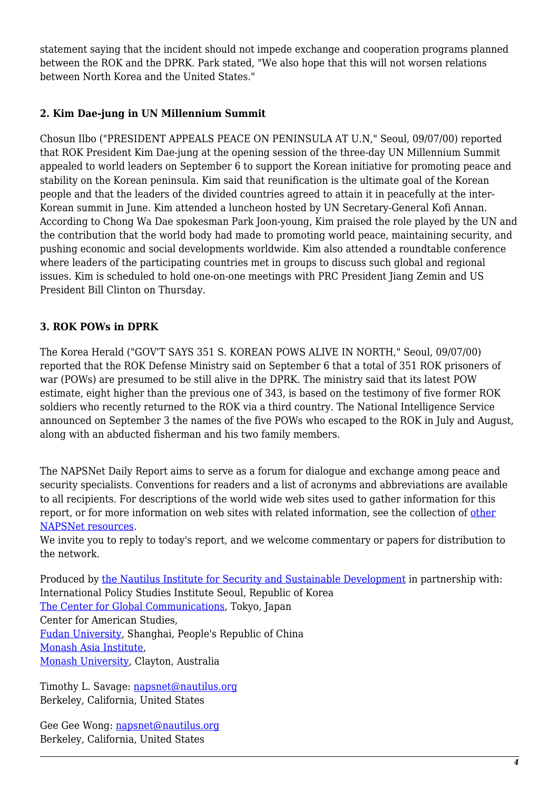statement saying that the incident should not impede exchange and cooperation programs planned between the ROK and the DPRK. Park stated, "We also hope that this will not worsen relations between North Korea and the United States."

#### <span id="page-3-0"></span>**2. Kim Dae-jung in UN Millennium Summit**

Chosun Ilbo ("PRESIDENT APPEALS PEACE ON PENINSULA AT U.N," Seoul, 09/07/00) reported that ROK President Kim Dae-jung at the opening session of the three-day UN Millennium Summit appealed to world leaders on September 6 to support the Korean initiative for promoting peace and stability on the Korean peninsula. Kim said that reunification is the ultimate goal of the Korean people and that the leaders of the divided countries agreed to attain it in peacefully at the inter-Korean summit in June. Kim attended a luncheon hosted by UN Secretary-General Kofi Annan. According to Chong Wa Dae spokesman Park Joon-young, Kim praised the role played by the UN and the contribution that the world body had made to promoting world peace, maintaining security, and pushing economic and social developments worldwide. Kim also attended a roundtable conference where leaders of the participating countries met in groups to discuss such global and regional issues. Kim is scheduled to hold one-on-one meetings with PRC President Jiang Zemin and US President Bill Clinton on Thursday.

#### <span id="page-3-1"></span>**3. ROK POWs in DPRK**

The Korea Herald ("GOV'T SAYS 351 S. KOREAN POWS ALIVE IN NORTH," Seoul, 09/07/00) reported that the ROK Defense Ministry said on September 6 that a total of 351 ROK prisoners of war (POWs) are presumed to be still alive in the DPRK. The ministry said that its latest POW estimate, eight higher than the previous one of 343, is based on the testimony of five former ROK soldiers who recently returned to the ROK via a third country. The National Intelligence Service announced on September 3 the names of the five POWs who escaped to the ROK in July and August, along with an abducted fisherman and his two family members.

The NAPSNet Daily Report aims to serve as a forum for dialogue and exchange among peace and security specialists. Conventions for readers and a list of acronyms and abbreviations are available to all recipients. For descriptions of the world wide web sites used to gather information for this report, or for more information on web sites with related information, see the collection of [other](http://nautilus.org/kiosk/weblinks.html) [NAPSNet resources.](http://nautilus.org/kiosk/weblinks.html)

We invite you to reply to today's report, and we welcome commentary or papers for distribution to the network.

Produced by [the Nautilus Institute for Security and Sustainable Development](http://nautilus.org/admin/about.html) in partnership with: International Policy Studies Institute Seoul, Republic of Korea [The Center for Global Communications](http://aska.glocom.ac.jp/default.html), Tokyo, Japan Center for American Studies, [Fudan University](http://www.fudan.edu.cn/English/nsindex.html), Shanghai, People's Republic of China [Monash Asia Institute,](http://www.adm.monash.edu.au) [Monash University](http://www.monash.edu.au/), Clayton, Australia

Timothy L. Savage: [napsnet@nautilus.org](mailto:napsnet@nautilus.org) Berkeley, California, United States

Gee Gee Wong: [napsnet@nautilus.org](mailto:napsnet@nautilus.org) Berkeley, California, United States